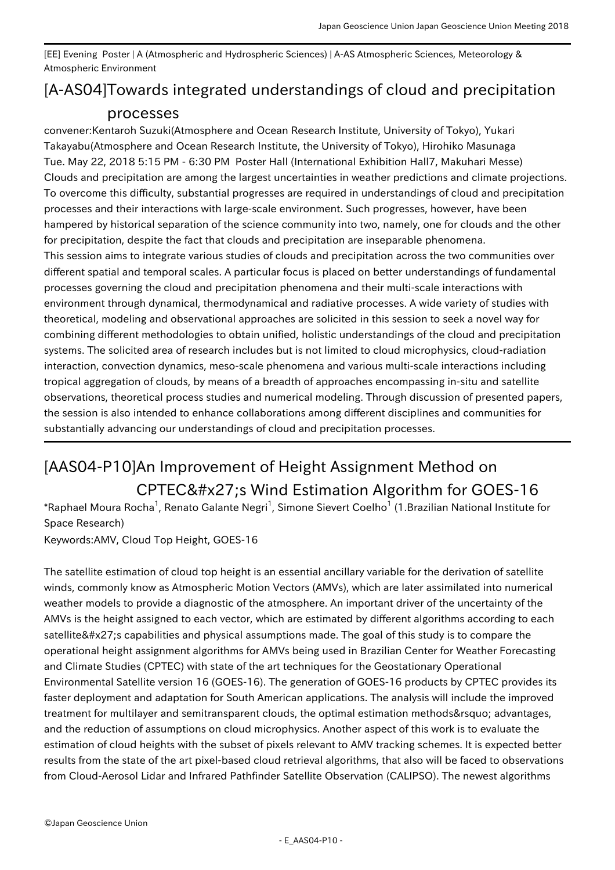[EE] Evening Poster | A (Atmospheric and Hydrospheric Sciences) | A-AS Atmospheric Sciences, Meteorology & Atmospheric Environment

## [A-AS04] Towards integrated understandings of cloud and precipitation processes

convener:Kentaroh Suzuki(Atmosphere and Ocean Research Institute, University of Tokyo), Yukari Takayabu(Atmosphere and Ocean Research Institute, the University of Tokyo), Hirohiko Masunaga Tue. May 22, 2018 5:15 PM - 6:30 PM Poster Hall (International Exhibition Hall7, Makuhari Messe) Clouds and precipitation are among the largest uncertainties in weather predictions and climate projections. To overcome this difficulty, substantial progresses are required in understandings of cloud and precipitation processes and their interactions with large-scale environment. Such progresses, however, have been hampered by historical separation of the science community into two, namely, one for clouds and the other for precipitation, despite the fact that clouds and precipitation are inseparable phenomena. This session aims to integrate various studies of clouds and precipitation across the two communities over different spatial and temporal scales. A particular focus is placed on better understandings of fundamental processes governing the cloud and precipitation phenomena and their multi-scale interactions with environment through dynamical, thermodynamical and radiative processes. A wide variety of studies with theoretical, modeling and observational approaches are solicited in this session to seek a novel way for combining different methodologies to obtain unified, holistic understandings of the cloud and precipitation systems. The solicited area of research includes but is not limited to cloud microphysics, cloud-radiation interaction, convection dynamics, meso-scale phenomena and various multi-scale interactions including tropical aggregation of clouds, by means of a breadth of approaches encompassing in-situ and satellite observations, theoretical process studies and numerical modeling. Through discussion of presented papers, the session is also intended to enhance collaborations among different disciplines and communities for substantially advancing our understandings of cloud and precipitation processes.

## [AAS04-P10] An Improvement of Height Assignment Method on CPTEC' s Wind Estimation Algorithm for GOES-16

\*Raphael Moura Rocha<sup>1</sup>, Renato Galante Negri<sup>1</sup>, Simone Sievert Coelho<sup>1</sup> (1.Brazilian National Institute for Space Research)

Keywords:AMV, Cloud Top Height, GOES-16

The satellite estimation of cloud top height is an essential ancillary variable for the derivation of satellite winds, commonly know as Atmospheric Motion Vectors (AMVs), which are later assimilated into numerical weather models to provide a diagnostic of the atmosphere. An important driver of the uncertainty of the AMVs is the height assigned to each vector, which are estimated by different algorithms according to each satellite' scapabilities and physical assumptions made. The goal of this study is to compare the operational height assignment algorithms for AMVs being used in Brazilian Center for Weather Forecasting and Climate Studies (CPTEC) with state of the art techniques for the Geostationary Operational Environmental Satellite version 16 (GOES-16). The generation of GOES-16 products by CPTEC provides its faster deployment and adaptation for South American applications. The analysis will include the improved treatment for multilayer and semitransparent clouds, the optimal estimation methods' advantages, and the reduction of assumptions on cloud microphysics. Another aspect of this work is to evaluate the estimation of cloud heights with the subset of pixels relevant to AMV tracking schemes. It is expected better results from the state of the art pixel-based cloud retrieval algorithms, that also will be faced to observations from Cloud-Aerosol Lidar and Infrared Pathfinder Satellite Observation (CALIPSO). The newest algorithms